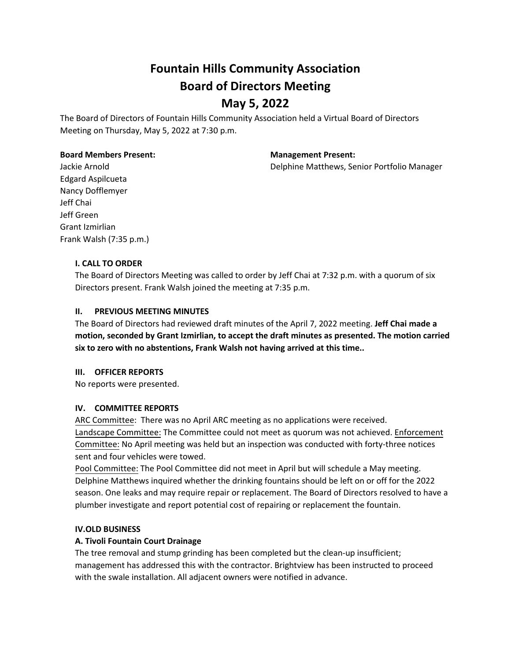The Board of Directors of Fountain Hills Community Association held a Virtual Board of Directors Meeting on Thursday, May 5, 2022 at 7:30 p.m.

#### **Board Members Present: Management Present:**

Jackie Arnold Delphine Matthews, Senior Portfolio Manager

Edgard Aspilcueta Nancy Dofflemyer Jeff Chai Jeff Green Grant Izmirlian Frank Walsh (7:35 p.m.)

# **I. CALL TO ORDER**

The Board of Directors Meeting was called to order by Jeff Chai at 7:32 p.m. with a quorum of six Directors present. Frank Walsh joined the meeting at 7:35 p.m.

# **II. PREVIOUS MEETING MINUTES**

The Board of Directors had reviewed draft minutes of the April 7, 2022 meeting. **Jeff Chai made a motion, seconded by Grant Izmirlian, to accept the draft minutes as presented. The motion carried six to zero with no abstentions, Frank Walsh not having arrived at this time..**

# **III. OFFICER REPORTS**

No reports were presented.

# **IV. COMMITTEE REPORTS**

ARC Committee: There was no April ARC meeting as no applications were received. Landscape Committee: The Committee could not meet as quorum was not achieved. Enforcement Committee: No April meeting was held but an inspection was conducted with forty-three notices sent and four vehicles were towed.

Pool Committee: The Pool Committee did not meet in April but will schedule a May meeting. Delphine Matthews inquired whether the drinking fountains should be left on or off for the 2022 season. One leaks and may require repair or replacement. The Board of Directors resolved to have a plumber investigate and report potential cost of repairing or replacement the fountain.

# **IV.OLD BUSINESS**

# **A. Tivoli Fountain Court Drainage**

The tree removal and stump grinding has been completed but the clean-up insufficient; management has addressed this with the contractor. Brightview has been instructed to proceed with the swale installation. All adjacent owners were notified in advance.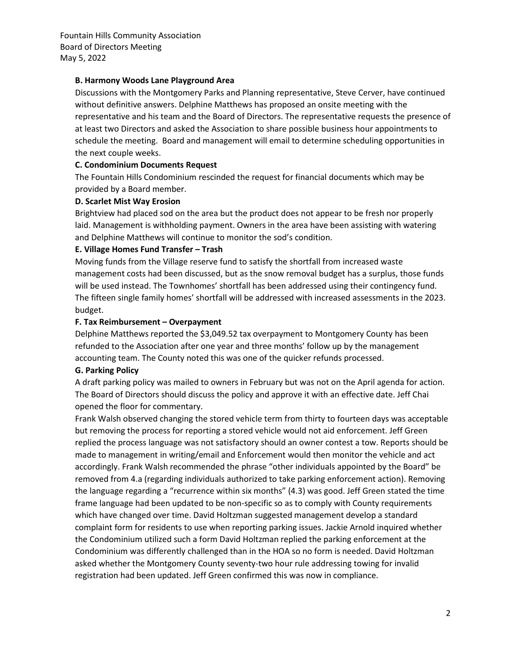# **B. Harmony Woods Lane Playground Area**

Discussions with the Montgomery Parks and Planning representative, Steve Cerver, have continued without definitive answers. Delphine Matthews has proposed an onsite meeting with the representative and his team and the Board of Directors. The representative requests the presence of at least two Directors and asked the Association to share possible business hour appointments to schedule the meeting. Board and management will email to determine scheduling opportunities in the next couple weeks.

### **C. Condominium Documents Request**

The Fountain Hills Condominium rescinded the request for financial documents which may be provided by a Board member.

### **D. Scarlet Mist Way Erosion**

Brightview had placed sod on the area but the product does not appear to be fresh nor properly laid. Management is withholding payment. Owners in the area have been assisting with watering and Delphine Matthews will continue to monitor the sod's condition.

#### **E. Village Homes Fund Transfer – Trash**

Moving funds from the Village reserve fund to satisfy the shortfall from increased waste management costs had been discussed, but as the snow removal budget has a surplus, those funds will be used instead. The Townhomes' shortfall has been addressed using their contingency fund. The fifteen single family homes' shortfall will be addressed with increased assessments in the 2023. budget.

#### **F. Tax Reimbursement – Overpayment**

Delphine Matthews reported the \$3,049.52 tax overpayment to Montgomery County has been refunded to the Association after one year and three months' follow up by the management accounting team. The County noted this was one of the quicker refunds processed.

# **G. Parking Policy**

A draft parking policy was mailed to owners in February but was not on the April agenda for action. The Board of Directors should discuss the policy and approve it with an effective date. Jeff Chai opened the floor for commentary.

Frank Walsh observed changing the stored vehicle term from thirty to fourteen days was acceptable but removing the process for reporting a stored vehicle would not aid enforcement. Jeff Green replied the process language was not satisfactory should an owner contest a tow. Reports should be made to management in writing/email and Enforcement would then monitor the vehicle and act accordingly. Frank Walsh recommended the phrase "other individuals appointed by the Board" be removed from 4.a (regarding individuals authorized to take parking enforcement action). Removing the language regarding a "recurrence within six months" (4.3) was good. Jeff Green stated the time frame language had been updated to be non-specific so as to comply with County requirements which have changed over time. David Holtzman suggested management develop a standard complaint form for residents to use when reporting parking issues. Jackie Arnold inquired whether the Condominium utilized such a form David Holtzman replied the parking enforcement at the Condominium was differently challenged than in the HOA so no form is needed. David Holtzman asked whether the Montgomery County seventy-two hour rule addressing towing for invalid registration had been updated. Jeff Green confirmed this was now in compliance.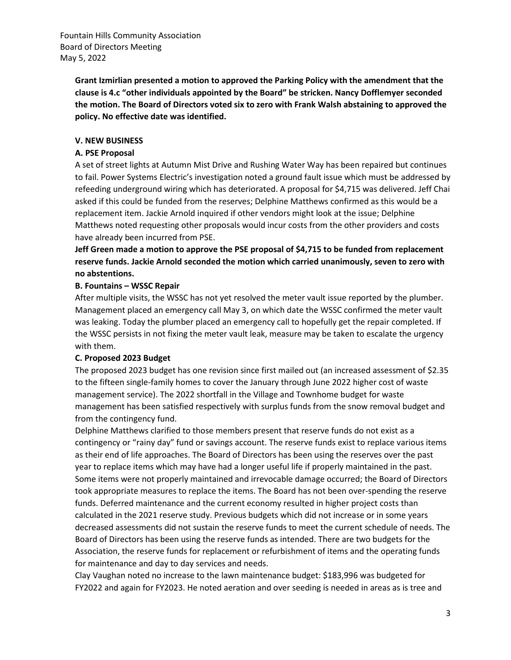> **Grant Izmirlian presented a motion to approved the Parking Policy with the amendment that the clause is 4.c "other individuals appointed by the Board" be stricken. Nancy Dofflemyer seconded the motion. The Board of Directors voted six to zero with Frank Walsh abstaining to approved the policy. No effective date was identified.**

# **V. NEW BUSINESS**

# **A. PSE Proposal**

A set of street lights at Autumn Mist Drive and Rushing Water Way has been repaired but continues to fail. Power Systems Electric's investigation noted a ground fault issue which must be addressed by refeeding underground wiring which has deteriorated. A proposal for \$4,715 was delivered. Jeff Chai asked if this could be funded from the reserves; Delphine Matthews confirmed as this would be a replacement item. Jackie Arnold inquired if other vendors might look at the issue; Delphine Matthews noted requesting other proposals would incur costs from the other providers and costs have already been incurred from PSE.

**Jeff Green made a motion to approve the PSE proposal of \$4,715 to be funded from replacement reserve funds. Jackie Arnold seconded the motion which carried unanimously, seven to zero with no abstentions.**

# **B. Fountains – WSSC Repair**

After multiple visits, the WSSC has not yet resolved the meter vault issue reported by the plumber. Management placed an emergency call May 3, on which date the WSSC confirmed the meter vault was leaking. Today the plumber placed an emergency call to hopefully get the repair completed. If the WSSC persists in not fixing the meter vault leak, measure may be taken to escalate the urgency with them.

# **C. Proposed 2023 Budget**

The proposed 2023 budget has one revision since first mailed out (an increased assessment of \$2.35 to the fifteen single-family homes to cover the January through June 2022 higher cost of waste management service). The 2022 shortfall in the Village and Townhome budget for waste management has been satisfied respectively with surplus funds from the snow removal budget and from the contingency fund.

Delphine Matthews clarified to those members present that reserve funds do not exist as a contingency or "rainy day" fund or savings account. The reserve funds exist to replace various items as their end of life approaches. The Board of Directors has been using the reserves over the past year to replace items which may have had a longer useful life if properly maintained in the past. Some items were not properly maintained and irrevocable damage occurred; the Board of Directors took appropriate measures to replace the items. The Board has not been over-spending the reserve funds. Deferred maintenance and the current economy resulted in higher project costs than calculated in the 2021 reserve study. Previous budgets which did not increase or in some years decreased assessments did not sustain the reserve funds to meet the current schedule of needs. The Board of Directors has been using the reserve funds as intended. There are two budgets for the Association, the reserve funds for replacement or refurbishment of items and the operating funds for maintenance and day to day services and needs.

Clay Vaughan noted no increase to the lawn maintenance budget: \$183,996 was budgeted for FY2022 and again for FY2023. He noted aeration and over seeding is needed in areas as is tree and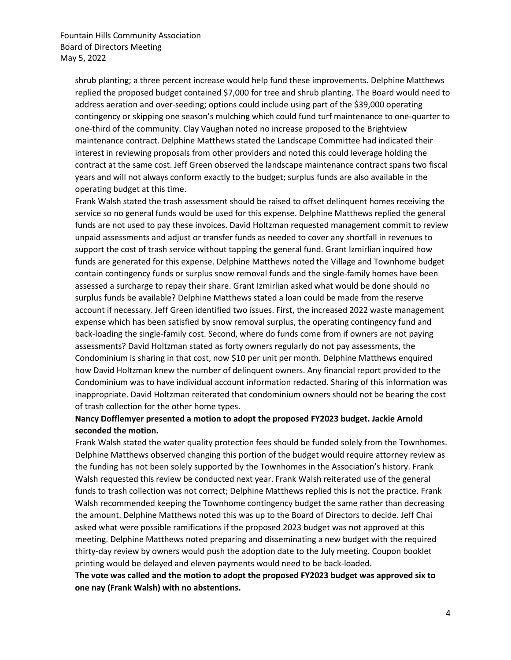shrub planting; a three percent increase would help fund these improvements. Delphine Matthews replied the proposed budget contained \$7,000 for tree and shrub planting. The Board would need to address aeration and over-seeding; options could include using part of the \$39,000 operating contingency or skipping one season's mulching which could fund turf maintenance to one-quarter to one-third of the community. Clay Vaughan noted no increase proposed to the Brightview maintenance contract. Delphine Matthews stated the Landscape Committee had indicated their interest in reviewing proposals from other providers and noted this could leverage holding the contract at the same cost. Jeff Green observed the landscape maintenance contract spans two fiscal years and will not always conform exactly to the budget; surplus funds are also available in the operating budget at this time.

Frank Walsh stated the trash assessment should be raised to offset delinquent homes receiving the service so no general funds would be used for this expense. Delphine Matthews replied the general funds are not used to pay these invoices. David Holtzman requested management commit to review unpaid assessments and adjust or transfer funds as needed to cover any shortfall in revenues to support the cost of trash service without tapping the general fund. Grant Izmirlian inquired how funds are generated for this expense. Delphine Matthews noted the Village and Townhome budget contain contingency funds or surplus snow removal funds and the single-family homes have been assessed a surcharge to repay their share. Grant Izmirlian asked what would be done should no surplus funds be available? Delphine Matthews stated a loan could be made from the reserve account if necessary. Jeff Green identified two issues. First, the increased 2022 waste management expense which has been satisfied by snow removal surplus, the operating contingency fund and back-loading the single-family cost. Second, where do funds come from if owners are not paying assessments? David Holtzman stated as forty owners regularly do not pay assessments, the Condominium is sharing in that cost, now \$10 per unit per month. Delphine Matthews enquired how David Holtzman knew the number of delinquent owners. Any financial report provided to the Condominium was to have individual account information redacted. Sharing of this information was inappropriate. David Holtzman reiterated that condominium owners should not be bearing the cost of trash collection for the other home types.

# **Nancy Dofflemyer presented a motion to adopt the proposed FY2023 budget. Jackie Arnold seconded the motion.**

Frank Walsh stated the water quality protection fees should be funded solely from the Townhomes. Delphine Matthews observed changing this portion of the budget would require attorney review as the funding has not been solely supported by the Townhomes in the Association's history. Frank Walsh requested this review be conducted next year. Frank Walsh reiterated use of the general funds to trash collection was not correct; Delphine Matthews replied this is not the practice. Frank Walsh recommended keeping the Townhome contingency budget the same rather than decreasing the amount. Delphine Matthews noted this was up to the Board of Directors to decide. Jeff Chai asked what were possible ramifications if the proposed 2023 budget was not approved at this meeting. Delphine Matthews noted preparing and disseminating a new budget with the required thirty-day review by owners would push the adoption date to the July meeting. Coupon booklet printing would be delayed and eleven payments would need to be back-loaded.

**The vote was called and the motion to adopt the proposed FY2023 budget was approved six to one nay (Frank Walsh) with no abstentions.**